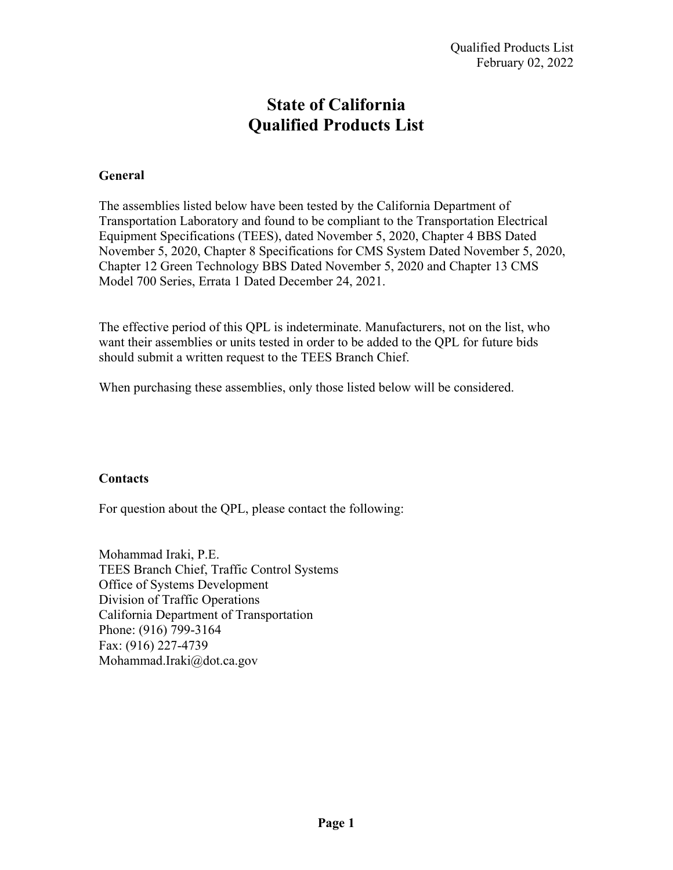# **State of California Qualified Products List**

## **General**

The assemblies listed below have been tested by the California Department of Transportation Laboratory and found to be compliant to the Transportation Electrical Equipment Specifications (TEES), dated November 5, 2020, Chapter 4 BBS Dated November 5, 2020, Chapter 8 Specifications for CMS System Dated November 5, 2020, Chapter 12 Green Technology BBS Dated November 5, 2020 and Chapter 13 CMS Model 700 Series, Errata 1 Dated December 24, 2021.

The effective period of this QPL is indeterminate. Manufacturers, not on the list, who want their assemblies or units tested in order to be added to the QPL for future bids should submit a written request to the TEES Branch Chief.

When purchasing these assemblies, only those listed below will be considered.

#### **Contacts**

For question about the QPL, please contact the following:

Mohammad Iraki, P.E. TEES Branch Chief, Traffic Control Systems Office of Systems Development Division of Traffic Operations California Department of Transportation Phone: (916) 799-3164 Fax: (916) 227-4739 Mohammad.Iraki@dot.ca.gov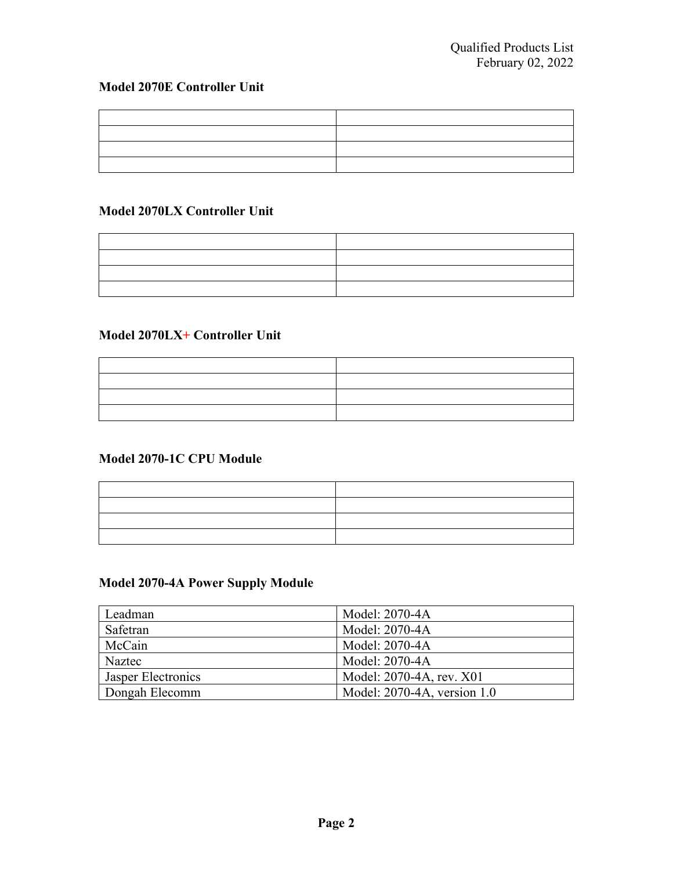## **Model 2070E Controller Unit**

## **Model 2070LX Controller Unit**

### **Model 2070LX+ Controller Unit**

### **Model 2070-1C CPU Module**

| the contract of the contract of the contract of the contract of the contract of the contract of the contract of |
|-----------------------------------------------------------------------------------------------------------------|
|                                                                                                                 |
|                                                                                                                 |
|                                                                                                                 |

## **Model 2070-4A Power Supply Module**

| Leadman            | Model: 2070-4A              |
|--------------------|-----------------------------|
| Safetran           | Model: 2070-4A              |
| McCain             | Model: 2070-4A              |
| Naztec             | Model: 2070-4A              |
| Jasper Electronics | Model: 2070-4A, rev. X01    |
| Dongah Elecomm     | Model: 2070-4A, version 1.0 |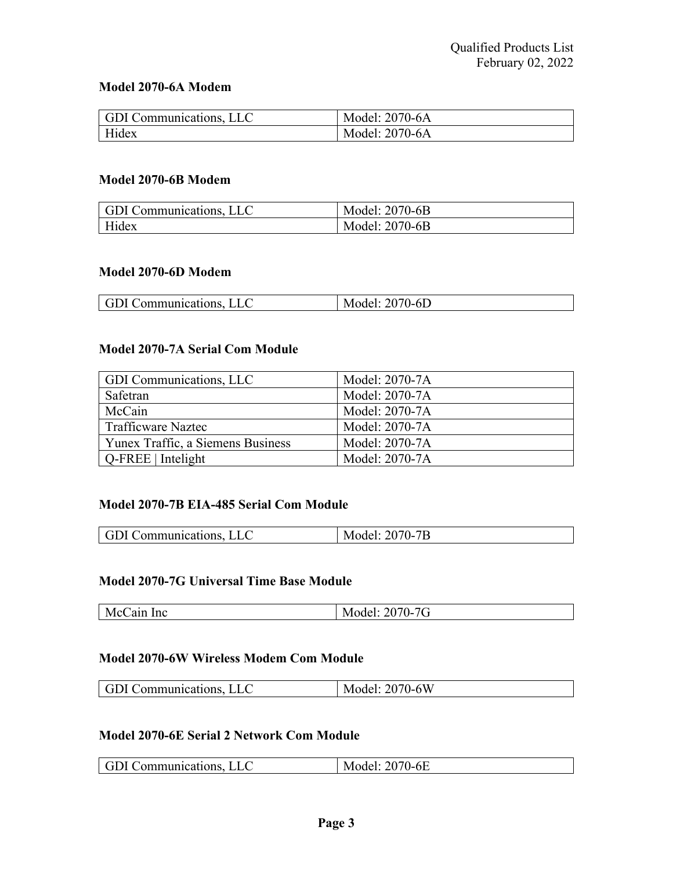## **Model 2070-6A Modem**

| <b>GDI</b> Communications, LLC | Model: 2070-6A |
|--------------------------------|----------------|
| Hidex                          | Model: 2070-6A |

#### **Model 2070-6B Modem**

| GDI Communications, LLC | Model: 2070-6B |
|-------------------------|----------------|
| Hidex                   | Model: 2070-6B |

#### **Model 2070-6D Modem**

| ' ( † 1<br>'JLC<br>Communications. | $\sqrt{ }$<br>)-6D<br>N<br>MOGEI:<br>∠∪ |
|------------------------------------|-----------------------------------------|

#### **Model 2070-7A Serial Com Module**

| GDI Communications, LLC           | Model: 2070-7A |
|-----------------------------------|----------------|
| Safetran                          | Model: 2070-7A |
| McCain                            | Model: 2070-7A |
| <b>Trafficware Naztec</b>         | Model: 2070-7A |
| Yunex Traffic, a Siemens Business | Model: 2070-7A |
| $Q$ -FREE   Intelight             | Model: 2070-7A |

#### **Model 2070-7B EIA-485 Serial Com Module**

| r GD' i<br>Communications. | 2070-7B<br>IVI |
|----------------------------|----------------|

#### **Model 2070-7G Universal Time Base Module**

| -<br>v<br>ш<br>.<br>- | ◡<br>`<br>$\sim$<br>$1110$ with $107$ |
|-----------------------|---------------------------------------|
|                       |                                       |

#### **Model 2070-6W Wireless Modem Com Module**

| I GDI             | 2070-6W |
|-------------------|---------|
| l Communications. | Model:  |

#### **Model 2070-6E Serial 2 Network Com Module**

| [GDI Communications.] | 2070-6E<br>Model: |
|-----------------------|-------------------|
|-----------------------|-------------------|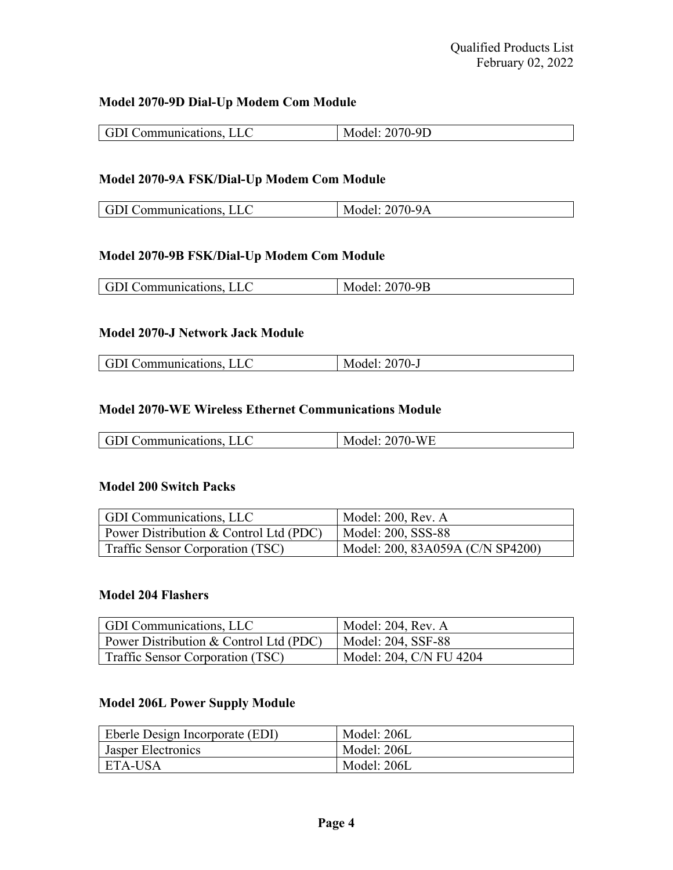#### **Model 2070-9D Dial-Up Modem Com Module**

## **Model 2070-9A FSK/Dial-Up Modem Com Module**

| GDI Communications, LLC | Model: 2070-9A |
|-------------------------|----------------|

### **Model 2070-9B FSK/Dial-Up Modem Com Module**

#### **Model 2070-J Network Jack Module**

| GDI Communications. | Model: 2070-J |
|---------------------|---------------|

#### **Model 2070-WE Wireless Ethernet Communications Module**

| <b>GDI Communications, LLC</b> | Model: 2070-WE |
|--------------------------------|----------------|
|                                |                |

#### **Model 200 Switch Packs**

| GDI Communications, LLC                        | Model: 200, Rev. A               |
|------------------------------------------------|----------------------------------|
| $\vert$ Power Distribution & Control Ltd (PDC) | Model: 200, SSS-88               |
| Traffic Sensor Corporation (TSC)               | Model: 200, 83A059A (C/N SP4200) |

### **Model 204 Flashers**

| GDI Communications, LLC                | Model: 204, Rev. A      |
|----------------------------------------|-------------------------|
| Power Distribution & Control Ltd (PDC) | Model: 204, SSF-88      |
| Traffic Sensor Corporation (TSC)       | Model: 204, C/N FU 4204 |

### **Model 206L Power Supply Module**

| <b>Eberle Design Incorporate (EDI)</b> | Model: 206L |
|----------------------------------------|-------------|
| <b>Jasper Electronics</b>              | Model: 206L |
| ETA-USA                                | Model: 206L |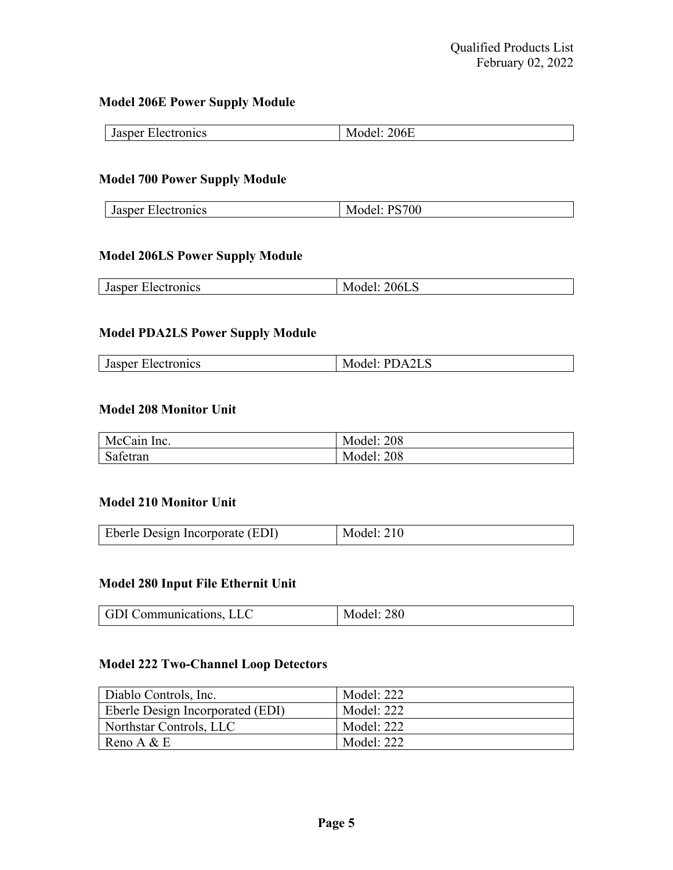#### **Model 206E Power Supply Module**

| sner          | 14       |
|---------------|----------|
| $\sim$        | w        |
| Jast          | ZUOE     |
| лесн          | $\cdots$ |
| <b>TOHICS</b> | __       |
|               |          |

### **Model 700 Power Supply Module**

| Jasper Electronics | Model: PS700 |
|--------------------|--------------|
|                    |              |

### **Model 206LS Power Supply Module**

|  | $Jasp^{\alpha}$<br>чнея | IVIQUU, ZUULU |
|--|-------------------------|---------------|
|--|-------------------------|---------------|

### **Model PDA2LS Power Supply Module**

#### **Model 208 Monitor Unit**

| McCain Inc.               | <b>Model: 208</b> |
|---------------------------|-------------------|
| $\sim$ $\sim$<br>Safetran | <b>Model: 208</b> |

#### **Model 210 Monitor Unit**

| <b>Eberle Design Incorporate (EDI)</b> | Model: 210 |
|----------------------------------------|------------|
|                                        |            |

### **Model 280 Input File Ethernit Unit**

| GDI Communications, LLC | del: 280<br>М |
|-------------------------|---------------|
|-------------------------|---------------|

## **Model 222 Two-Channel Loop Detectors**

| Diablo Controls, Inc.            | Model: 222 |
|----------------------------------|------------|
| Eberle Design Incorporated (EDI) | Model: 222 |
| Northstar Controls, LLC          | Model: 222 |
| Reno A $&$ E                     | Model: 222 |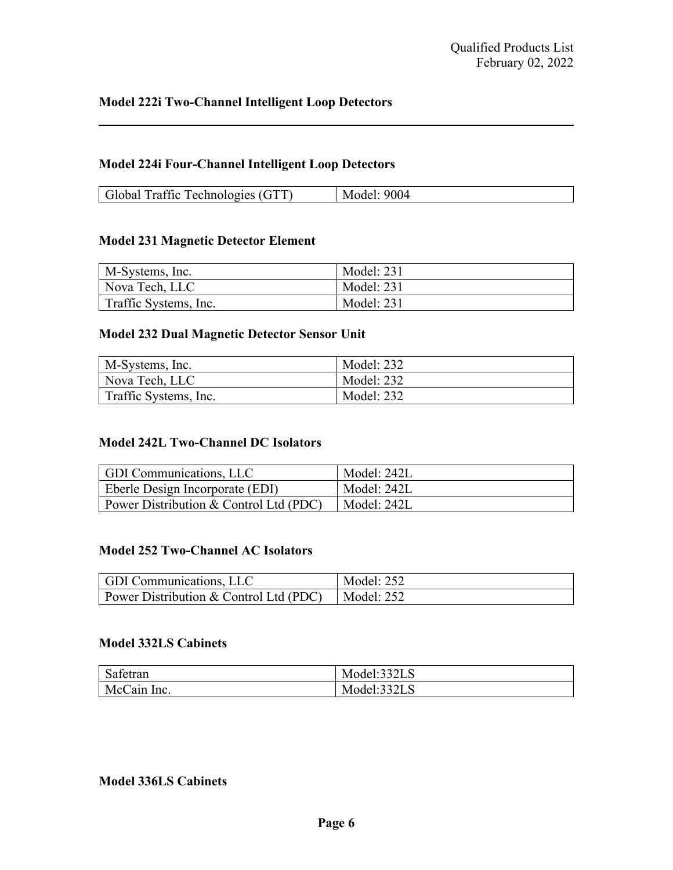#### **Model 224i Four-Channel Intelligent Loop Detectors**

| Global Traffic Technologies (GTT) | Model: 9004 |
|-----------------------------------|-------------|

#### **Model 231 Magnetic Detector Element**

| M-Systems, Inc.       | Model: 231 |
|-----------------------|------------|
| Nova Tech, LLC        | Model: 231 |
| Traffic Systems, Inc. | Model: 231 |

### **Model 232 Dual Magnetic Detector Sensor Unit**

| M-Systems, Inc.       | Model: 232 |
|-----------------------|------------|
| Nova Tech, LLC        | Model: 232 |
| Traffic Systems, Inc. | Model: 232 |

#### **Model 242L Two-Channel DC Isolators**

| GDI Communications, LLC                | Model: 242L |
|----------------------------------------|-------------|
| <b>Eberle Design Incorporate (EDI)</b> | Model: 242L |
| Power Distribution & Control Ltd (PDC) | Model: 242L |

#### **Model 252 Two-Channel AC Isolators**

| <b>GDI</b> Communications, LLC                                | Model: 252 |
|---------------------------------------------------------------|------------|
| Power Distribution & Control Ltd (PDC) $\parallel$ Model: 252 |            |

#### **Model 332LS Cabinets**

| $\sim$ $\sim$<br>Safetran | Model:332LS |
|---------------------------|-------------|
| McCain Inc.               | Model:332LS |

## **Model 336LS Cabinets**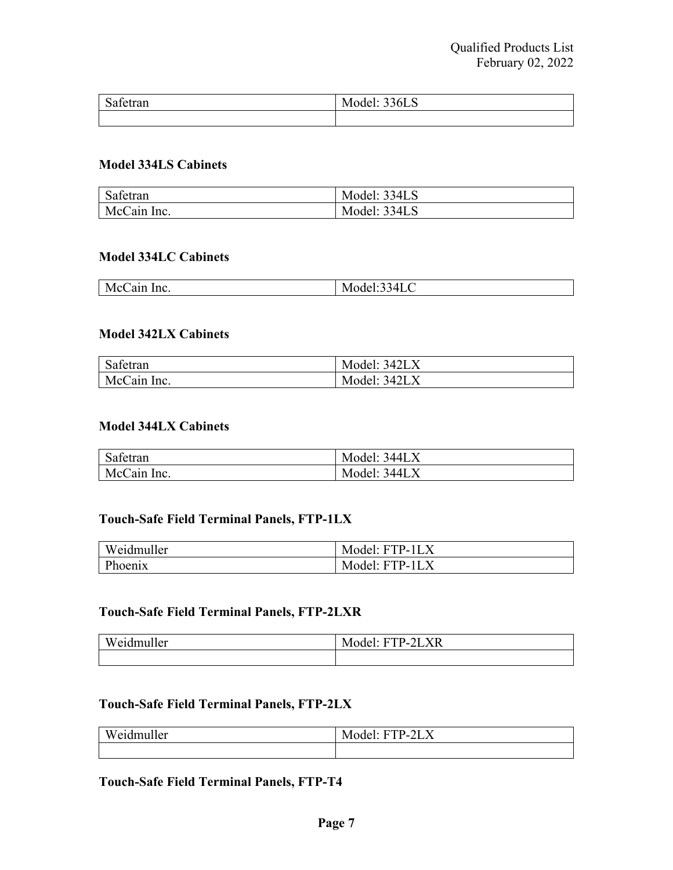| $\sim$<br>$\sim$<br>Safetran | Model: 336LS |
|------------------------------|--------------|
|                              |              |

#### **Model 334LS Cabinets**

| $\alpha$ $\alpha$<br>Safetran | Model: 334LS |
|-------------------------------|--------------|
| McCain Inc.                   | Model: 334LS |

#### **Model 334LC Cabinets**

| $-1$<br>inc.<br>$N_{\rm h}$<br>1 I L | $\sqrt{ }$<br>$-$<br>ℸப∪ |
|--------------------------------------|--------------------------|
|                                      |                          |

#### **Model 342LX Cabinets**

| $\sim$ $\sim$<br>Safetran | Model: 342LX |
|---------------------------|--------------|
| McCain Inc.               | Model: 342LX |

#### **Model 344LX Cabinets**

| $\cap$ $\cap$<br>Safetran | Model: 344LX |
|---------------------------|--------------|
| McCain Inc.               | Model: 344LX |

### **Touch-Safe Field Terminal Panels, FTP-1LX**

| Weidmuller     | Model: FTP-1LX |
|----------------|----------------|
| <b>Phoenix</b> | Model: FTP-1L. |

#### **Touch-Safe Field Terminal Panels, FTP-2LXR**

| T T T<br>$\overline{\phantom{a}}$<br>muller<br>W.<br>$\mathbf{P}$ 1 | $\mathbb{P}\text{-}2\text{LXR}$<br>. H 1<br>∩del'<br>M |
|---------------------------------------------------------------------|--------------------------------------------------------|
|                                                                     |                                                        |

## **Touch-Safe Field Terminal Panels, FTP-2LX**

| <b>TTT</b><br>$\rightarrow$<br>Weidmuller | $\mathbf{r}$<br>TP-2LX<br>Model: .<br>. . |
|-------------------------------------------|-------------------------------------------|
|                                           |                                           |

#### **Touch-Safe Field Terminal Panels, FTP-T4**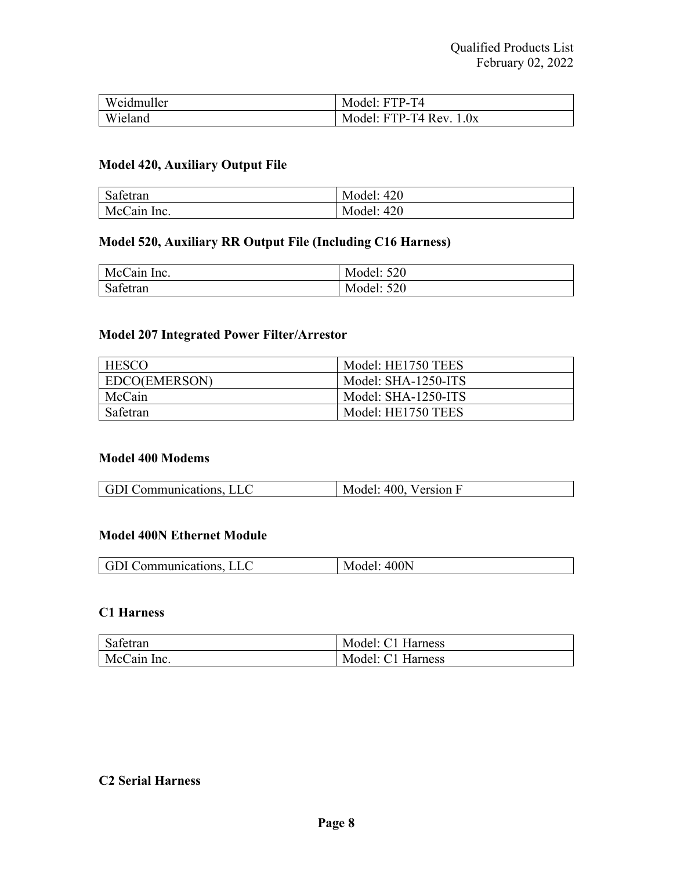| Weidmuller | Model: FTP-T4               |
|------------|-----------------------------|
| Wieland    | Model: $FTP-T4$ Rev. $1.0x$ |

## **Model 420, Auxiliary Output File**

| $\sim$ $\sim$<br>Safetran | <b>Model: 420</b> |
|---------------------------|-------------------|
| McCain Inc.               | <b>Model: 420</b> |

## **Model 520, Auxiliary RR Output File (Including C16 Harness)**

| McCain Inc. | <b>Model: 520</b> |
|-------------|-------------------|
| Safetran    | <b>Model: 520</b> |

## **Model 207 Integrated Power Filter/Arrestor**

| <b>HESCO</b>  | Model: HE1750 TEES  |
|---------------|---------------------|
| EDCO(EMERSON) | Model: SHA-1250-ITS |
| McCain        | Model: SHA-1250-ITS |
| Safetran      | Model: HE1750 TEES  |

#### **Model 400 Modems**

| 400. Version F<br><b>GDI</b> Communications, LLC<br>$\tilde{\phantom{a}}$ |
|---------------------------------------------------------------------------|
|---------------------------------------------------------------------------|

#### **Model 400N Ethernet Module**

| LLC<br>400N<br>l GDI.<br>JI Communications. |
|---------------------------------------------|
|---------------------------------------------|

## **C1 Harness**

| Safetran    | Model: C1 Harness |
|-------------|-------------------|
| McCain Inc. | Model: C1 Harness |

## **C2 Serial Harness**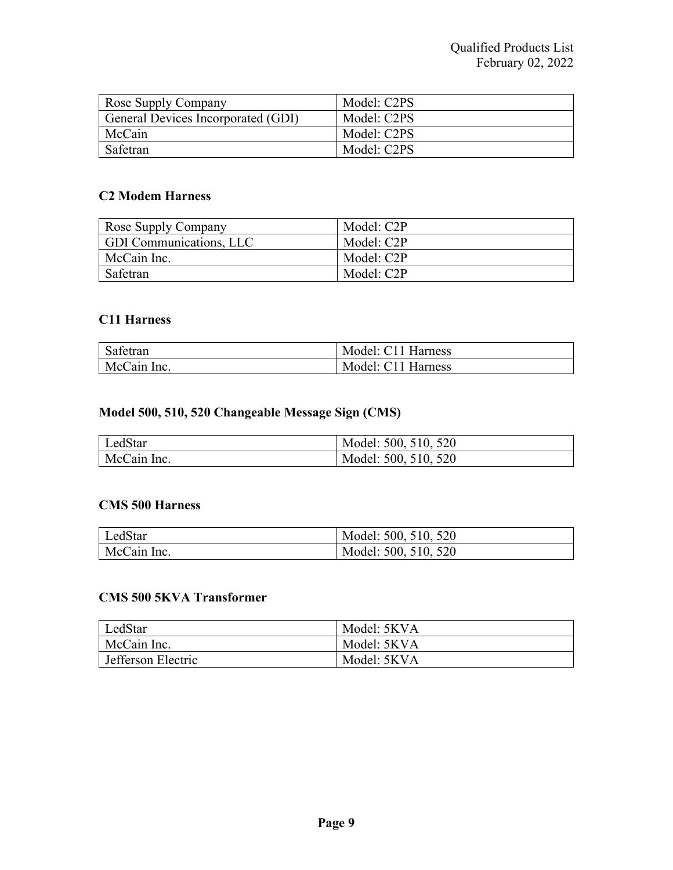| Rose Supply Company                | Model: C2PS |
|------------------------------------|-------------|
| General Devices Incorporated (GDI) | Model: C2PS |
| McCain                             | Model: C2PS |
| Safetran                           | Model: C2PS |

## **C2 Modem Harness**

| Rose Supply Company     | Model: C2P |
|-------------------------|------------|
| GDI Communications, LLC | Model: C2P |
| McCain Inc.             | Model: C2P |
| Safetran                | Model: C2P |

#### **C11 Harness**

| Safetran    | Model: C11 Harness |
|-------------|--------------------|
| McCain Inc. | Model: C11 Harness |

## **Model 500, 510, 520 Changeable Message Sign (CMS)**

| LedStar     | Model: 500, 510, 520 |
|-------------|----------------------|
| McCain Inc. | Model: 500, 510, 520 |

#### **CMS 500 Harness**

| LedStar     | Model: 500, 510, 520 |
|-------------|----------------------|
| McCain Inc. | Model: 500, 510, 520 |

## **CMS 500 5KVA Transformer**

| LedStar            | Model: 5KVA |
|--------------------|-------------|
| McCain Inc.        | Model: 5KVA |
| Jefferson Electric | Model: 5KVA |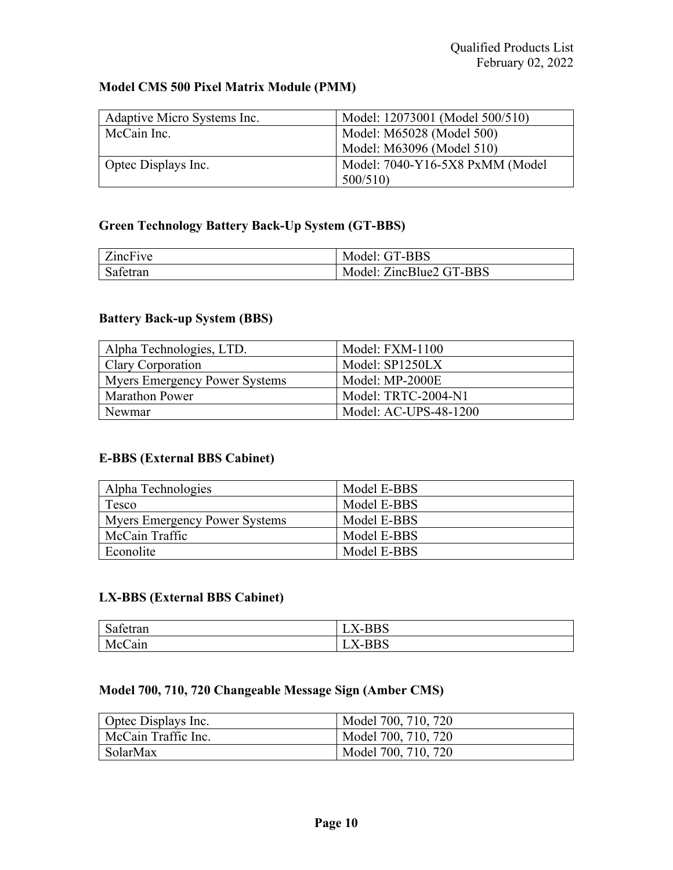## **Model CMS 500 Pixel Matrix Module (PMM)**

| Adaptive Micro Systems Inc. | Model: 12073001 (Model 500/510) |
|-----------------------------|---------------------------------|
| McCain Inc.                 | Model: M65028 (Model 500)       |
|                             | Model: M63096 (Model 510)       |
| Optec Displays Inc.         | Model: 7040-Y16-5X8 PxMM (Model |
|                             | 500/510                         |

## **Green Technology Battery Back-Up System (GT-BBS)**

| ZincFive | Model: GT-BBS           |
|----------|-------------------------|
| Safetran | Model: ZincBlue2 GT-BBS |

### **Battery Back-up System (BBS)**

| Alpha Technologies, LTD.             | Model: FXM-1100       |
|--------------------------------------|-----------------------|
| Clary Corporation                    | Model: SP1250LX       |
| <b>Myers Emergency Power Systems</b> | Model: MP-2000E       |
| <b>Marathon Power</b>                | Model: TRTC-2004-N1   |
| Newmar                               | Model: AC-UPS-48-1200 |

## **E-BBS (External BBS Cabinet)**

| Alpha Technologies            | Model E-BBS |
|-------------------------------|-------------|
| Tesco                         | Model E-BBS |
| Myers Emergency Power Systems | Model E-BBS |
| McCain Traffic                | Model E-BBS |
| Econolite                     | Model E-BBS |

## **LX-BBS (External BBS Cabinet)**

| $\sim$<br>$\sim$<br>Safetran | טטענ |
|------------------------------|------|
| McC<br>∕ain                  | odc  |

## **Model 700, 710, 720 Changeable Message Sign (Amber CMS)**

| Optec Displays Inc. | Model 700, 710, 720 |
|---------------------|---------------------|
| McCain Traffic Inc. | Model 700, 710, 720 |
| SolarMax            | Model 700, 710, 720 |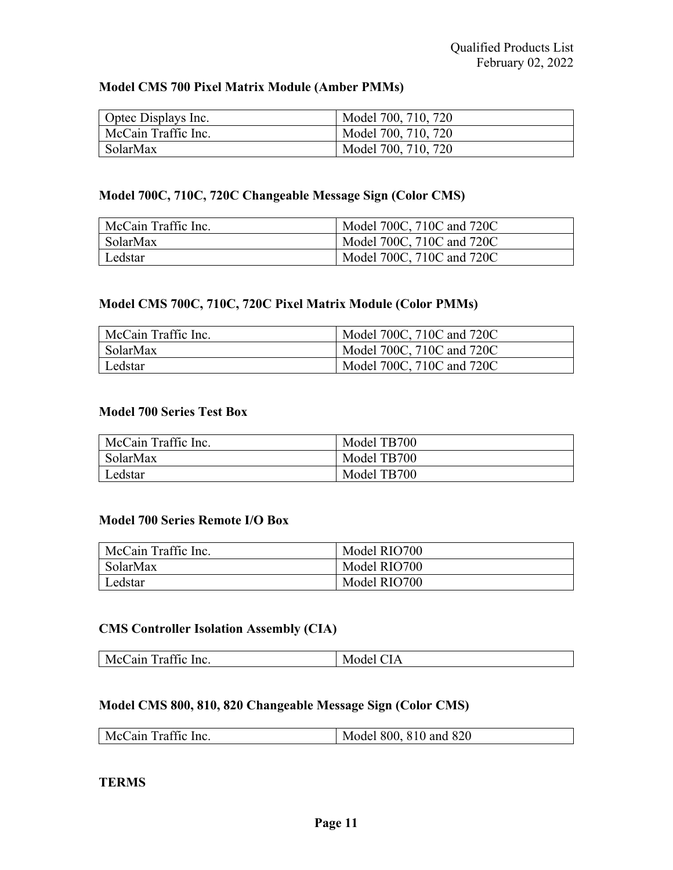### **Model CMS 700 Pixel Matrix Module (Amber PMMs)**

| Optec Displays Inc. | Model 700, 710, 720 |
|---------------------|---------------------|
| McCain Traffic Inc. | Model 700, 710, 720 |
| SolarMax            | Model 700, 710, 720 |

## **Model 700C, 710C, 720C Changeable Message Sign (Color CMS)**

| McCain Traffic Inc. | Model 700C, 710C and 720C |
|---------------------|---------------------------|
| <b>SolarMax</b>     | Model 700C, 710C and 720C |
| Ledstar             | Model 700C, 710C and 720C |

## **Model CMS 700C, 710C, 720C Pixel Matrix Module (Color PMMs)**

| McCain Traffic Inc. | Model 700C, 710C and 720C |
|---------------------|---------------------------|
| <b>SolarMax</b>     | Model 700C, 710C and 720C |
| Ledstar             | Model 700C, 710C and 720C |

#### **Model 700 Series Test Box**

| McCain Traffic Inc. | Model TB700 |
|---------------------|-------------|
| SolarMax            | Model TB700 |
| Ledstar             | Model TB700 |

#### **Model 700 Series Remote I/O Box**

| McCain Traffic Inc. | Model RIO700 |
|---------------------|--------------|
| <b>SolarMax</b>     | Model RIO700 |
| Ledstar             | Model RIO700 |

## **CMS Controller Isolation Assembly (CIA)**

| $\alpha$<br>McCain<br>in a complete control of the complete state of the complete state of the complete state of the complete state of the complete state of the complete state of the complete state of the complete state of the complete state of<br>Inc.<br>WI<br>'1C<br>тан<br>эaе<br>$\mathbf{L}$<br>. |  |
|--------------------------------------------------------------------------------------------------------------------------------------------------------------------------------------------------------------------------------------------------------------------------------------------------------------|--|
|--------------------------------------------------------------------------------------------------------------------------------------------------------------------------------------------------------------------------------------------------------------------------------------------------------------|--|

## **Model CMS 800, 810, 820 Changeable Message Sign (Color CMS)**

| McCain Traffic Inc. | Model 800, 810 and 820 |
|---------------------|------------------------|
|---------------------|------------------------|

#### **TERMS**